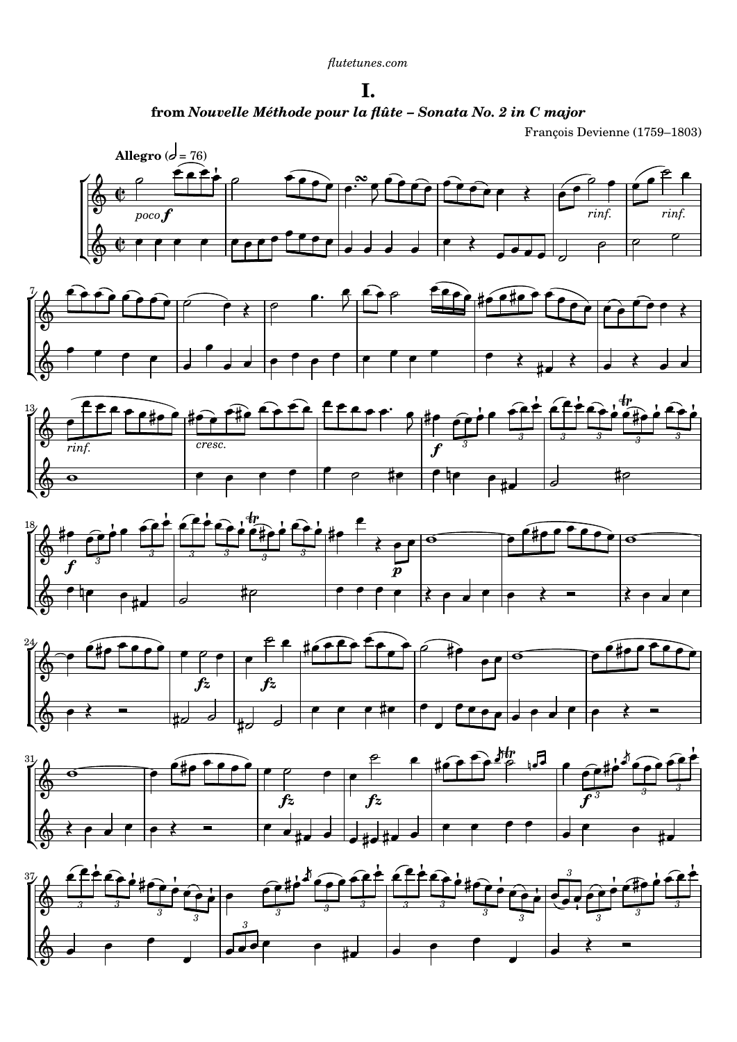**from** *Nouvelle Méthode pour la flûte – Sonata No. 2 in C major*

François Devienne (1759–1803)



 $\overline{\phantom{0}}$ 

31

Ľ

 $\bullet \bot$ 

**I.**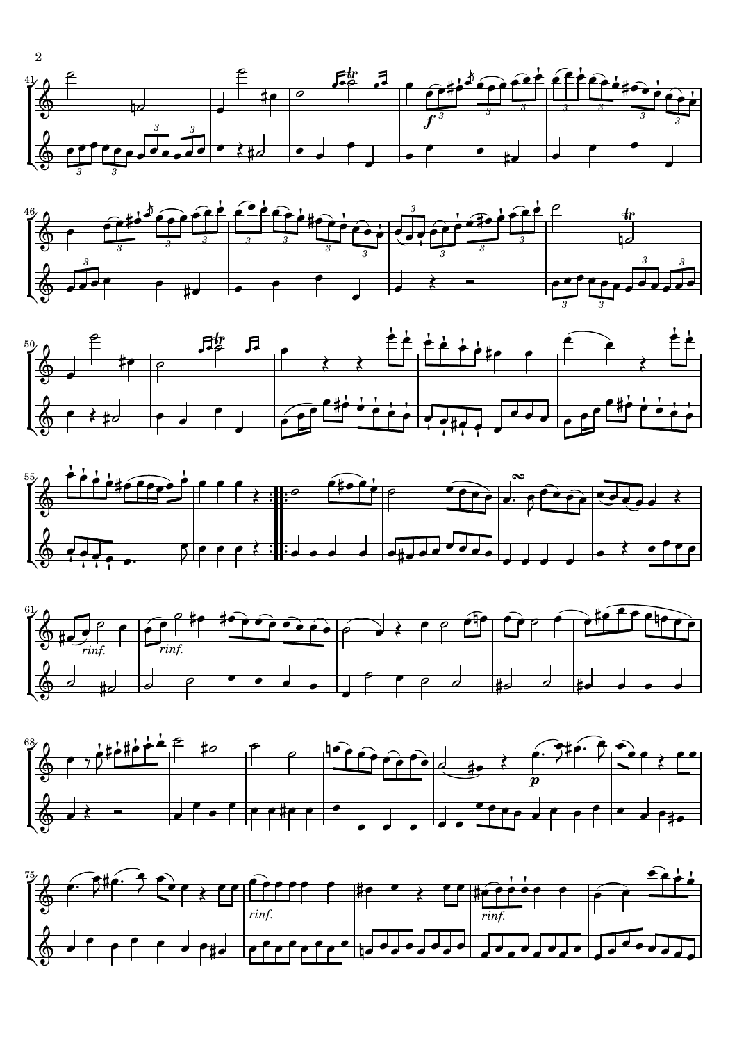